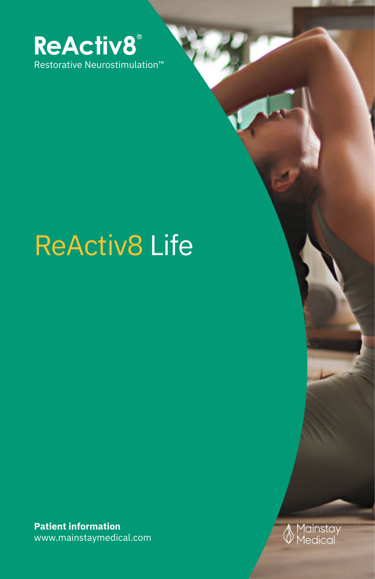

# ReActiv8 Life

**Patient information** www.mainstaymedical.com

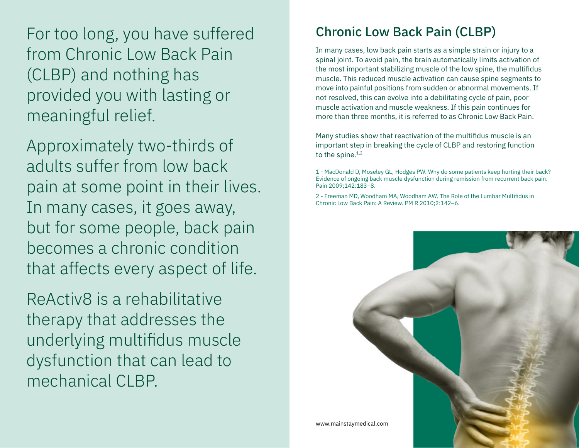For too long, you have suffered from Chronic Low Back Pain (CLBP) and nothing has provided you with lasting or meaningful relief.

Approximately two-thirds of adults suffer from low back pain at some point in their lives. In many cases, it goes away, but for some people, back pain becomes a chronic condition that affects every aspect of life.

ReActiv8 is a rehabilitative therapy that addresses the underlying multifidus muscle dysfunction that can lead to mechanical CLBP.

### Chronic Low Back Pain (CLBP)

In many cases, low back pain starts as a simple strain or injury to a spinal joint. To avoid pain, the brain automatically limits activation of the most important stabilizing muscle of the low spine, the multifidus muscle. This reduced muscle activation can cause spine segments to move into painful positions from sudden or abnormal movements. If not resolved, this can evolve into a debilitating cycle of pain, poor muscle activation and muscle weakness. If this pain continues for more than three months, it is referred to as Chronic Low Back Pain.

Many studies show that reactivation of the multifidus muscle is an important step in breaking the cycle of CLBP and restoring function to the spine.<sup>1,2</sup>

1 - MacDonald D, Moseley GL, Hodges PW. Why do some patients keep hurting their back? Evidence of ongoing back muscle dysfunction during remission from recurrent back pain. Pain 2009;142:183–8.

2 - Freeman MD, Woodham MA, Woodham AW. The Role of the Lumbar Multifidus in Chronic Low Back Pain: A Review. PM R 2010;2:142–6.

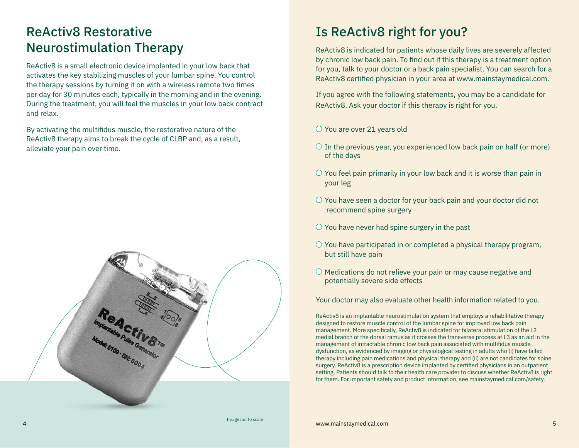## ReActiv8 Restorative Neurostimulation Therapy

ReActiv8 is a small electronic device implanted in your low back that activates the key stabilizing muscles of your lumbar spine. You control the therapy sessions by turning it on with a wireless remote two times per day for 30 minutes each, typically in the morning and in the evening. During the treatment, you will feel the muscles in your low back contract and relax.

By activating the multifidus muscle, the restorative nature of the ReActiv8 therapy aims to break the cycle of CLBP and, as a result, alleviate your pain over time.



# Is ReActiv8 right for you?

ReActiv8 is indicated for patients whose daily lives are severely affected by chronic low back pain. To find out if this therapy is a treatment option for you, talk to your doctor or a back pain specialist. You can search for a ReActiv8 certified physician in your area at www.mainstaymedical.com.

If you agree with the following statements, you may be a candidate for ReActiv8. Ask your doctor if this therapy is right for you.

O You are over 21 years old

- $\circ$  In the previous year, you experienced low back pain on half (or more) of the days
- $\circlearrowright$  You feel pain primarily in your low back and it is worse than pain in your leg
- $\circ$  You have seen a doctor for your back pain and your doctor did not recommend spine surgery
- $\circlearrowright$  You have never had spine surgery in the past
- $\circ$  You have participated in or completed a physical therapy program, but still have pain
- $\circ$  Medications do not relieve your pain or may cause negative and potentially severe side effects

Your doctor may also evaluate other health information related to you.

ReActiv8 is an implantable neurostimulation system that employs a rehabilitative therapy designed to restore muscle control of the lumbar spine for improved low back pain management. More specifically, ReActiv8 is indicated for bilateral stimulation of the L2 medial branch of the dorsal ramus as it crosses the transverse process at L3 as an aid in the management of intractable chronic low back pain associated with multifidus muscle dysfunction, as evidenced by imaging or physiological testing in adults who (i) have failed therapy including pain medications and physical therapy and (ii) are not candidates for spine surgery. ReActiv8 is a prescription device implanted by certified physicians in an outpatient setting. Patients should talk to their health care provider to discuss whether ReActiv8 is right for them. For important safety and product information, see mainstaymedical.com/safety.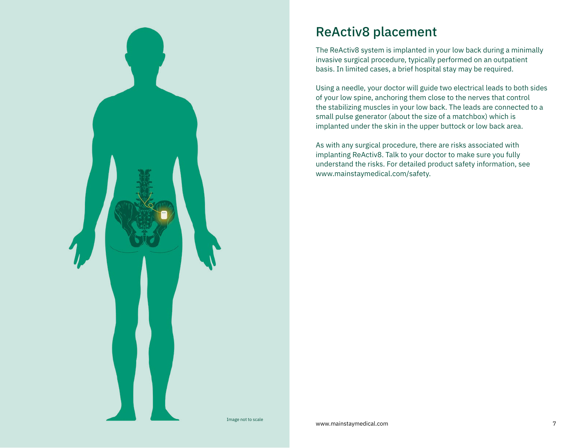

### ReActiv8 placement

The ReActiv8 system is implanted in your low back during a minimally invasive surgical procedure, typically performed on an outpatient basis. In limited cases, a brief hospital stay may be required.

Using a needle, your doctor will guide two electrical leads to both sides of your low spine, anchoring them close to the nerves that control the stabilizing muscles in your low back. The leads are connected to a small pulse generator (about the size of a matchbox) which is implanted under the skin in the upper buttock or low back area.

As with any surgical procedure, there are risks associated with implanting ReActiv8. Talk to your doctor to make sure you fully understand the risks. For detailed product safety information, see www.mainstaymedical.com/safety.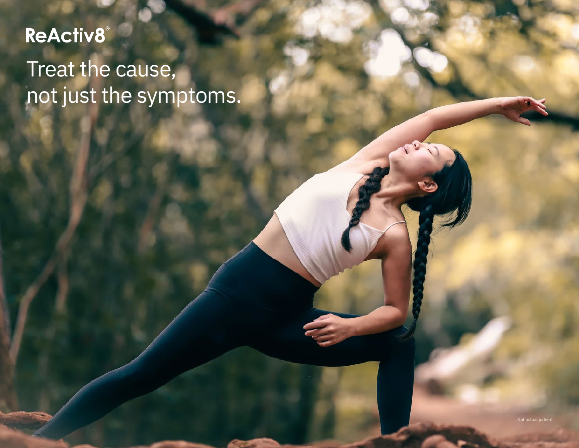ReActiv8<sup>®</sup>

Treat the cause, not just the symptoms.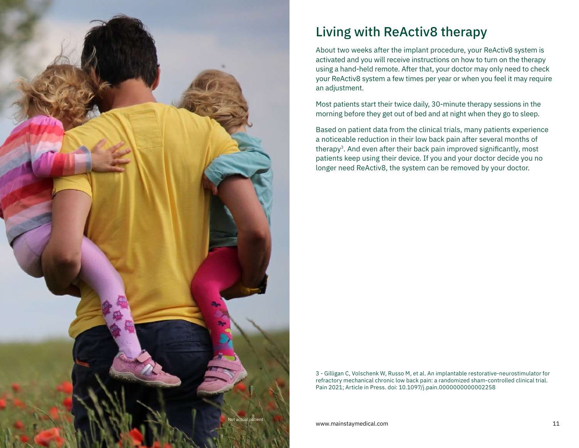

# Living with ReActiv8 therapy

About two weeks after the implant procedure, your ReActiv8 system is activated and you will receive instructions on how to turn on the therapy using a hand-held remote. After that, your doctor may only need to check your ReActiv8 system a few times per year or when you feel it may require an adjustment.

Most patients start their twice daily, 30-minute therapy sessions in the morning before they get out of bed and at night when they go to sleep.

Based on patient data from the clinical trials, many patients experience a noticeable reduction in their low back pain after several months of therapy<sup>3</sup>. And even after their back pain improved significantly, most patients keep using their device. If you and your doctor decide you no longer need ReActiv8, the system can be removed by your doctor.

3 - Gilligan C, Volschenk W, Russo M, et al. An implantable restorative-neurostimulator for refractory mechanical chronic low back pain: a randomized sham-controlled clinical trial. Pain 2021; Article in Press. doi: 10.1097/j.pain.0000000000002258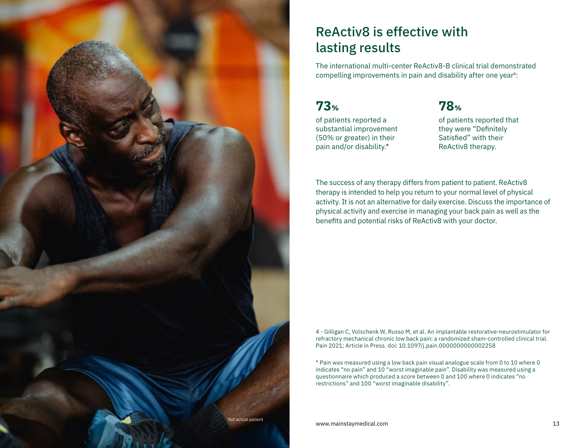

## ReActiv8 is effective with lasting results

The international multi-center ReActiv8-B clinical trial demonstrated compelling improvements in pain and disability after one year<sup>4</sup>:

### **73% 78%**

of patients reported a substantial improvement (50% or greater) in their pain and/or disability.\*

of patients reported that they were "Definitely Satisfied" with their ReActiv8 therapy.

The success of any therapy differs from patient to patient. ReActiv8 therapy is intended to help you return to your normal level of physical activity. It is not an alternative for daily exercise. Discuss the importance of physical activity and exercise in managing your back pain as well as the benefits and potential risks of ReActiv8 with your doctor.

4 - Gilligan C, Volschenk W, Russo M, et al. An implantable restorative-neurostimulator for refractory mechanical chronic low back pain: a randomized sham-controlled clinical trial. Pain 2021; Article in Press. doi: 10.1097/j.pain.0000000000002258

\* Pain was measured using a low back pain visual analogue scale from 0 to 10 where 0 indicates "no pain" and 10 "worst imaginable pain". Disability was measured using a questionnaire which produced a score between 0 and 100 where 0 indicates "no restrictions" and 100 "worst imaginable disability".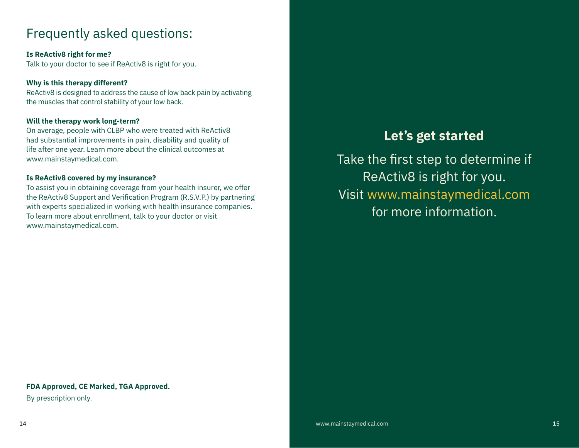### Frequently asked questions:

**Is ReActiv8 right for me?** Talk to your doctor to see if ReActiv8 is right for you.

### **Why is this therapy different?**

ReActiv8 is designed to address the cause of low back pain by activating the muscles that control stability of your low back.

### **Will the therapy work long-term?**

On average, people with CLBP who were treated with ReActiv8 had substantial improvements in pain, disability and quality of life after one year. Learn more about the clinical outcomes at www.mainstaymedical.com.

### **Is ReActiv8 covered by my insurance?**

To assist you in obtaining coverage from your health insurer, we offer the ReActiv8 Support and Verification Program (R.S.V.P.) by partnering with experts specialized in working with health insurance companies. To learn more about enrollment, talk to your doctor or visit www.mainstaymedical.com.

### **Let's get started**

Take the first step to determine if ReActiv8 is right for you. Visit www.mainstaymedical.com for more information.

### **FDA Approved, CE Marked, TGA Approved.**

By prescription only.